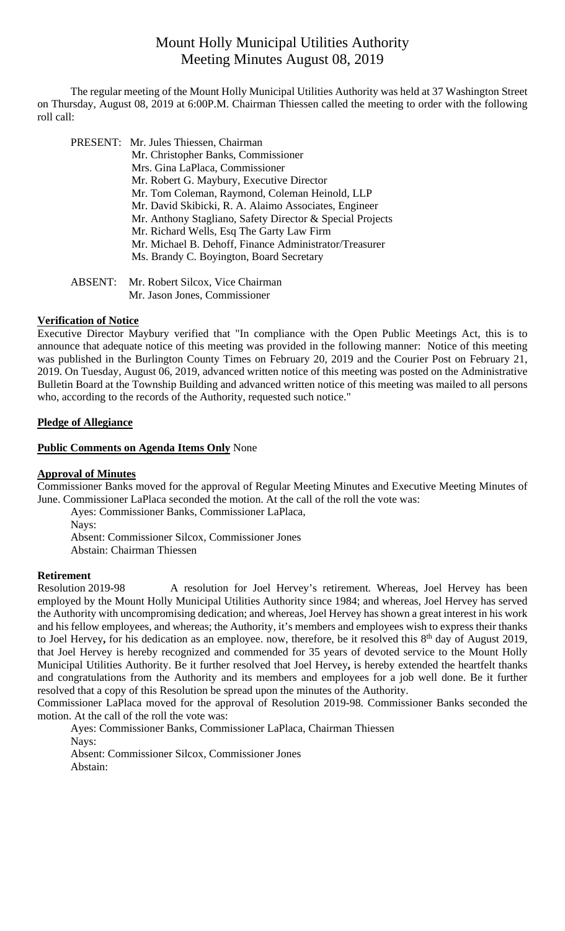# Mount Holly Municipal Utilities Authority Meeting Minutes August 08, 2019

 The regular meeting of the Mount Holly Municipal Utilities Authority was held at 37 Washington Street on Thursday, August 08, 2019 at 6:00P.M. Chairman Thiessen called the meeting to order with the following roll call:

| PRESENT: Mr. Jules Thiessen, Chairman                     |
|-----------------------------------------------------------|
| Mr. Christopher Banks, Commissioner                       |
| Mrs. Gina LaPlaca, Commissioner                           |
| Mr. Robert G. Maybury, Executive Director                 |
| Mr. Tom Coleman, Raymond, Coleman Heinold, LLP            |
| Mr. David Skibicki, R. A. Alaimo Associates, Engineer     |
| Mr. Anthony Stagliano, Safety Director & Special Projects |
| Mr. Richard Wells, Esq The Garty Law Firm                 |
| Mr. Michael B. Dehoff, Finance Administrator/Treasurer    |
| Ms. Brandy C. Boyington, Board Secretary                  |
|                                                           |

 ABSENT: Mr. Robert Silcox, Vice Chairman Mr. Jason Jones, Commissioner

# **Verification of Notice**

Executive Director Maybury verified that "In compliance with the Open Public Meetings Act, this is to announce that adequate notice of this meeting was provided in the following manner: Notice of this meeting was published in the Burlington County Times on February 20, 2019 and the Courier Post on February 21, 2019. On Tuesday, August 06, 2019, advanced written notice of this meeting was posted on the Administrative Bulletin Board at the Township Building and advanced written notice of this meeting was mailed to all persons who, according to the records of the Authority, requested such notice."

# **Pledge of Allegiance**

# **Public Comments on Agenda Items Only** None

# **Approval of Minutes**

Commissioner Banks moved for the approval of Regular Meeting Minutes and Executive Meeting Minutes of June. Commissioner LaPlaca seconded the motion. At the call of the roll the vote was:

Ayes: Commissioner Banks, Commissioner LaPlaca, Nays: Absent: Commissioner Silcox, Commissioner Jones Abstain: Chairman Thiessen

# **Retirement**

Resolution 2019-98 A resolution for Joel Hervey's retirement. Whereas, Joel Hervey has been employed by the Mount Holly Municipal Utilities Authority since 1984; and whereas, Joel Hervey has served the Authority with uncompromising dedication; and whereas, Joel Hervey has shown a great interest in his work and his fellow employees, and whereas; the Authority, it's members and employees wish to express their thanks to Joel Hervey, for his dedication as an employee. now, therefore, be it resolved this 8<sup>th</sup> day of August 2019, that Joel Hervey is hereby recognized and commended for 35 years of devoted service to the Mount Holly Municipal Utilities Authority. Be it further resolved that Joel Hervey**,** is hereby extended the heartfelt thanks and congratulations from the Authority and its members and employees for a job well done. Be it further resolved that a copy of this Resolution be spread upon the minutes of the Authority.

Commissioner LaPlaca moved for the approval of Resolution 2019-98. Commissioner Banks seconded the motion. At the call of the roll the vote was:

Ayes: Commissioner Banks, Commissioner LaPlaca, Chairman Thiessen Nays: Absent: Commissioner Silcox, Commissioner Jones

Abstain: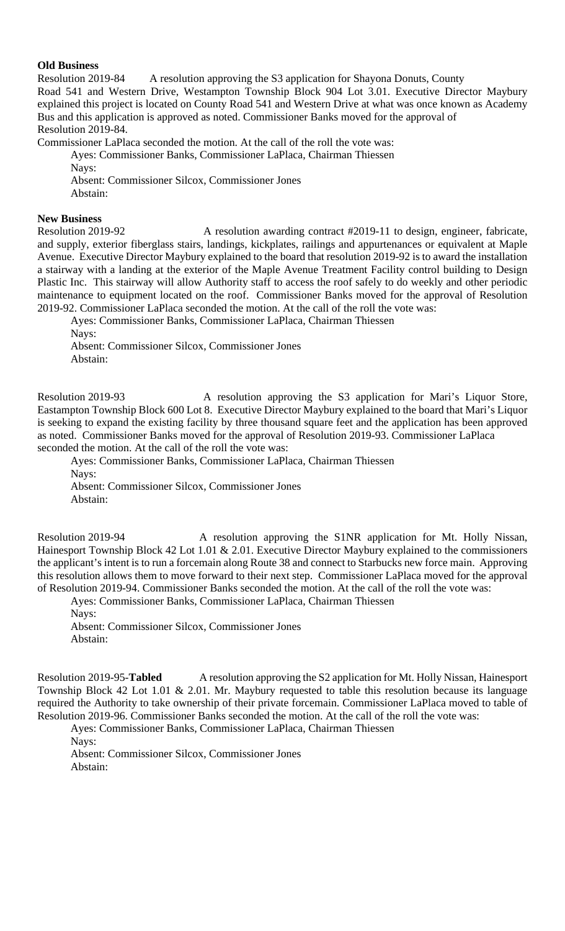#### **Old Business**

Resolution 2019-84 A resolution approving the S3 application for Shayona Donuts, County Road 541 and Western Drive, Westampton Township Block 904 Lot 3.01. Executive Director Maybury explained this project is located on County Road 541 and Western Drive at what was once known as Academy Bus and this application is approved as noted. Commissioner Banks moved for the approval of Resolution 2019-84.

Commissioner LaPlaca seconded the motion. At the call of the roll the vote was:

Ayes: Commissioner Banks, Commissioner LaPlaca, Chairman Thiessen

Nays:

Absent: Commissioner Silcox, Commissioner Jones

Abstain:

# **New Business**

Resolution 2019-92 A resolution awarding contract #2019-11 to design, engineer, fabricate, and supply, exterior fiberglass stairs, landings, kickplates, railings and appurtenances or equivalent at Maple Avenue. Executive Director Maybury explained to the board that resolution 2019-92 is to award the installation a stairway with a landing at the exterior of the Maple Avenue Treatment Facility control building to Design Plastic Inc. This stairway will allow Authority staff to access the roof safely to do weekly and other periodic maintenance to equipment located on the roof. Commissioner Banks moved for the approval of Resolution 2019-92. Commissioner LaPlaca seconded the motion. At the call of the roll the vote was:

Ayes: Commissioner Banks, Commissioner LaPlaca, Chairman Thiessen

Nays:

Absent: Commissioner Silcox, Commissioner Jones

Abstain:

Resolution 2019-93 A resolution approving the S3 application for Mari's Liquor Store, Eastampton Township Block 600 Lot 8. Executive Director Maybury explained to the board that Mari's Liquor is seeking to expand the existing facility by three thousand square feet and the application has been approved as noted. Commissioner Banks moved for the approval of Resolution 2019-93. Commissioner LaPlaca seconded the motion. At the call of the roll the vote was:

Ayes: Commissioner Banks, Commissioner LaPlaca, Chairman Thiessen Nays: Absent: Commissioner Silcox, Commissioner Jones

Abstain:

Resolution 2019-94 A resolution approving the S1NR application for Mt. Holly Nissan, Hainesport Township Block 42 Lot 1.01 & 2.01. Executive Director Maybury explained to the commissioners the applicant's intent is to run a forcemain along Route 38 and connect to Starbucks new force main. Approving this resolution allows them to move forward to their next step. Commissioner LaPlaca moved for the approval of Resolution 2019-94. Commissioner Banks seconded the motion. At the call of the roll the vote was:

Ayes: Commissioner Banks, Commissioner LaPlaca, Chairman Thiessen Nays: Absent: Commissioner Silcox, Commissioner Jones

Abstain:

Resolution 2019-95-**Tabled** A resolution approving the S2 application for Mt. Holly Nissan, Hainesport Township Block 42 Lot 1.01 & 2.01. Mr. Maybury requested to table this resolution because its language required the Authority to take ownership of their private forcemain. Commissioner LaPlaca moved to table of Resolution 2019-96. Commissioner Banks seconded the motion. At the call of the roll the vote was:

Ayes: Commissioner Banks, Commissioner LaPlaca, Chairman Thiessen

Nays:

Absent: Commissioner Silcox, Commissioner Jones Abstain: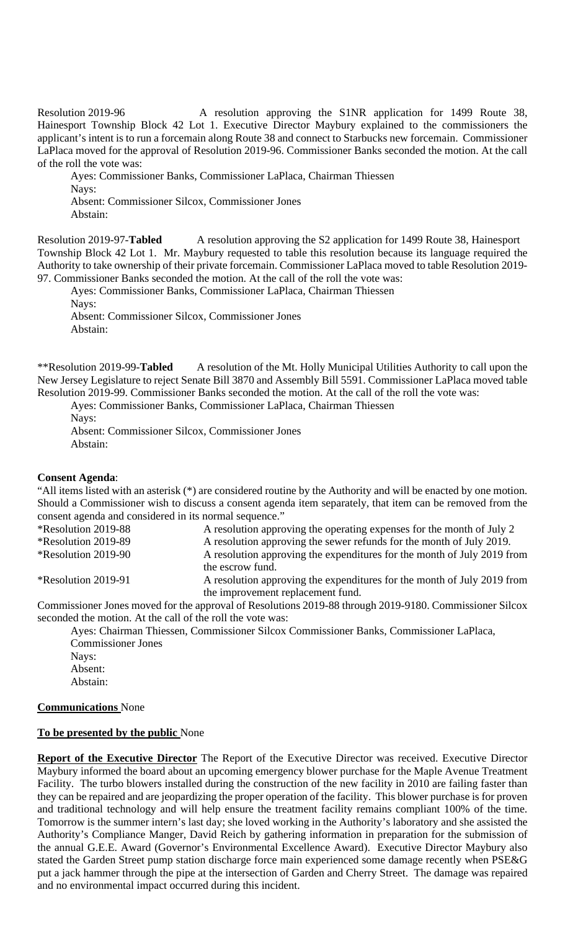Resolution 2019-96 A resolution approving the S1NR application for 1499 Route 38, Hainesport Township Block 42 Lot 1. Executive Director Maybury explained to the commissioners the applicant's intent is to run a forcemain along Route 38 and connect to Starbucks new forcemain. Commissioner LaPlaca moved for the approval of Resolution 2019-96. Commissioner Banks seconded the motion. At the call of the roll the vote was:

Ayes: Commissioner Banks, Commissioner LaPlaca, Chairman Thiessen Navs: Absent: Commissioner Silcox, Commissioner Jones Abstain:

Resolution 2019-97-Tabled A resolution approving the S2 application for 1499 Route 38, Hainesport Township Block 42 Lot 1. Mr. Maybury requested to table this resolution because its language required the Authority to take ownership of their private forcemain. Commissioner LaPlaca moved to table Resolution 2019- 97. Commissioner Banks seconded the motion. At the call of the roll the vote was:

Ayes: Commissioner Banks, Commissioner LaPlaca, Chairman Thiessen Nays: Absent: Commissioner Silcox, Commissioner Jones

\*\*Resolution 2019-99-**Tabled** A resolution of the Mt. Holly Municipal Utilities Authority to call upon the New Jersey Legislature to reject Senate Bill 3870 and Assembly Bill 5591. Commissioner LaPlaca moved table Resolution 2019-99. Commissioner Banks seconded the motion. At the call of the roll the vote was:

Ayes: Commissioner Banks, Commissioner LaPlaca, Chairman Thiessen Nays: Absent: Commissioner Silcox, Commissioner Jones

Abstain:

Abstain:

# **Consent Agenda**:

"All items listed with an asterisk (\*) are considered routine by the Authority and will be enacted by one motion. Should a Commissioner wish to discuss a consent agenda item separately, that item can be removed from the consent agenda and considered in its normal sequence."

\*Resolution 2019-88 A resolution approving the operating expenses for the month of July 2 \*Resolution 2019-89 A resolution approving the sewer refunds for the month of July 2019. \*Resolution 2019-90 A resolution approving the expenditures for the month of July 2019 from the escrow fund. \*Resolution 2019-91 A resolution approving the expenditures for the month of July 2019 from the improvement replacement fund.

Commissioner Jones moved for the approval of Resolutions 2019-88 through 2019-9180. Commissioner Silcox seconded the motion. At the call of the roll the vote was:

Ayes: Chairman Thiessen, Commissioner Silcox Commissioner Banks, Commissioner LaPlaca, Commissioner Jones Nays:

Absent: Abstain:

# **Communications** None

# **To be presented by the public** None

**Report of the Executive Director** The Report of the Executive Director was received. Executive Director Maybury informed the board about an upcoming emergency blower purchase for the Maple Avenue Treatment Facility. The turbo blowers installed during the construction of the new facility in 2010 are failing faster than they can be repaired and are jeopardizing the proper operation of the facility. This blower purchase is for proven and traditional technology and will help ensure the treatment facility remains compliant 100% of the time. Tomorrow is the summer intern's last day; she loved working in the Authority's laboratory and she assisted the Authority's Compliance Manger, David Reich by gathering information in preparation for the submission of the annual G.E.E. Award (Governor's Environmental Excellence Award). Executive Director Maybury also stated the Garden Street pump station discharge force main experienced some damage recently when PSE&G put a jack hammer through the pipe at the intersection of Garden and Cherry Street. The damage was repaired and no environmental impact occurred during this incident.